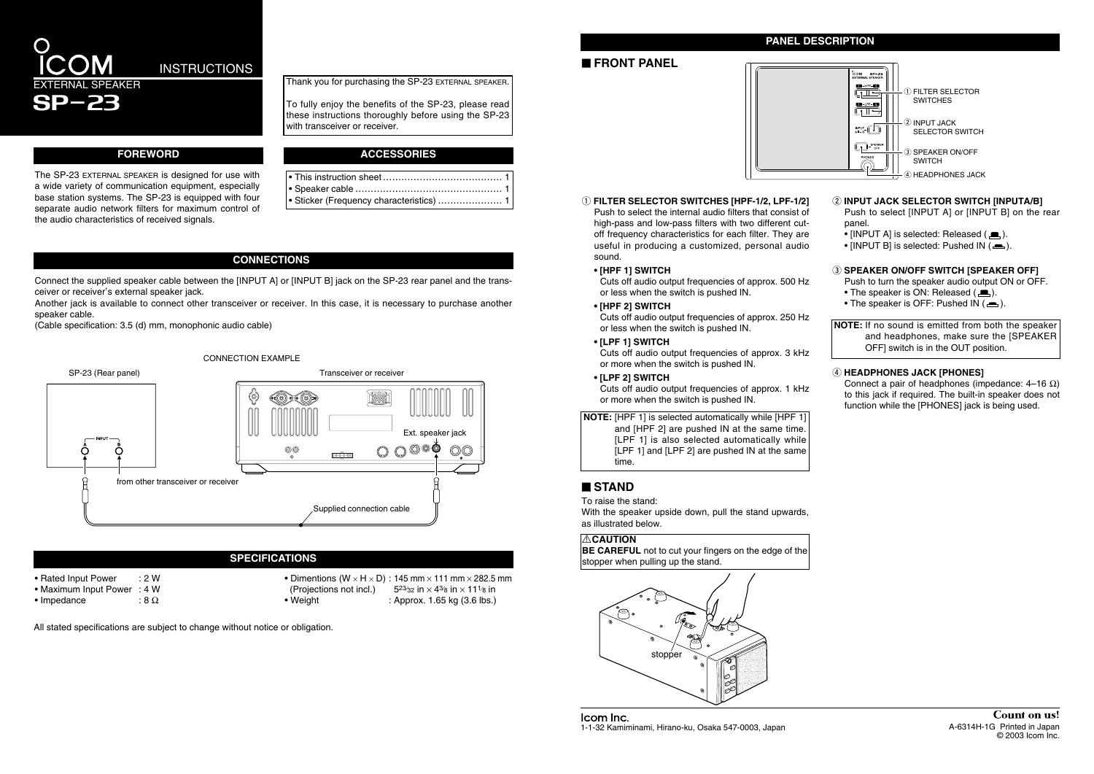Thank you for purchasing the SP-23 EXTERNAL SPEAKER.

## EXTERNAL SPEAKER **INSTRUCTIONS**

To fully enjoy the benefits of the SP-23, please read these instructions thoroughly before using the SP-23 with transceiver or receiver.

SP-23

The SP-23 EXTERNAL SPEAKER is designed for use with a wide variety of communication equipment, especially base station systems. The SP-23 is equipped with four separate audio network filters for maximum control of the audio characteristics of received signals.

#### **FOREWORD**

#### **CONNECTIONS**





- **(2) INPUT JACK SELECTOR SWITCH [INPUTA/B]** Push to select [INPUT A] or [INPUT B] on the rear panel.
	- [INPUT A] is selected: Released  $($
	- [INPUT B] is selected: Pushed IN  $($ .

#### **(3) SPEAKER ON/OFF SWITCH [SPEAKER OFF]**

Push to select the internal audio filters that consist of high-pass and low-pass filters with two different cutoff frequency characteristics for each filter. They are useful in producing a customized, personal audio sound.

> Connect a pair of headphones (impedance:  $4-16$  Ω) to this jack if required. The built-in speaker does not function while the [PHONES] jack is being used.

**• [HPF 1] SWITCH**

Cuts off audio output frequencies of approx. 500 Hz or less when the switch is pushed IN.

**• [HPF 2] SWITCH**

Cuts off audio output frequencies of approx. 250 Hz or less when the switch is pushed IN.

**• [LPF 1] SWITCH**

Cuts off audio output frequencies of approx. 3 kHz or more when the switch is pushed IN.

Connect the supplied speaker cable between the [INPUT A] or [INPUT B] jack on the SP-23 rear panel and the transceiver or receiver's external speaker jack.

**• [LPF 2] SWITCH**

Cuts off audio output frequencies of approx. 1 kHz or more when the switch is pushed IN.

Push to turn the speaker audio output ON or OFF.

- The speaker is ON: Released  $(\blacksquare)$ .
- The speaker is OFF: Pushed IN  $($ .

**NOTE:** If no sound is emitted from both the speaker and headphones, make sure the [SPEAKER OFF] switch is in the OUT position.

#### **4** HEADPHONES JACK [PHONES]

| ● This instruction sheet ……………………………………… 1 |  |
|--------------------------------------------|--|
|                                            |  |
| • Sticker (Frequency characteristics)  1   |  |

**NOTE:** [HPF 1] is selected automatically while [HPF 1] and [HPF 2] are pushed IN at the same time. [LPF 1] is also selected automatically while [LPF 1] and [LPF 2] are pushed IN at the same time.

#### **PANEL DESCRIPTION**

#### **SPECIFICATIONS**

- Rated Input Power : 2 W
- Maximum Input Power : 4 W
- Impedance : 8  $\Omega$

• Dimentions (W  $\times$  H  $\times$  D) : 145 mm  $\times$  111 mm  $\times$  282.5 mm (Projections not incl.)  $5^{23}/32$  in  $\times$  4 $3/8$  in  $\times$  11 $\frac{1}{8}$  in • Weight : Approx. 1.65 kg (3.6 lbs.)

All stated specifications are subject to change without notice or obligation.

#### **E** FRONT PANEL



#### (1) FILTER SELECTOR SWITCHES [HPF-1/2, LPF-1/2]

#### **ACCESSORIES**

Another jack is available to connect other transceiver or receiver. In this case, it is necessary to purchase another speaker cable.

(Cable specification: 3.5 (d) mm, monophonic audio cable)

To raise the stand:

With the speaker upside down, pull the stand upwards, as illustrated below.

### ' **STAND**



Icom Inc. 1-1-32 Kamiminami, Hirano-ku, Osaka 547-0003, Japan A-6314H-1G Printed in Japan A-6314H-1G Printed in Japan

#### R**CAUTION**

**BE CAREFUL** not to cut your fingers on the edge of the stopper when pulling up the stand.